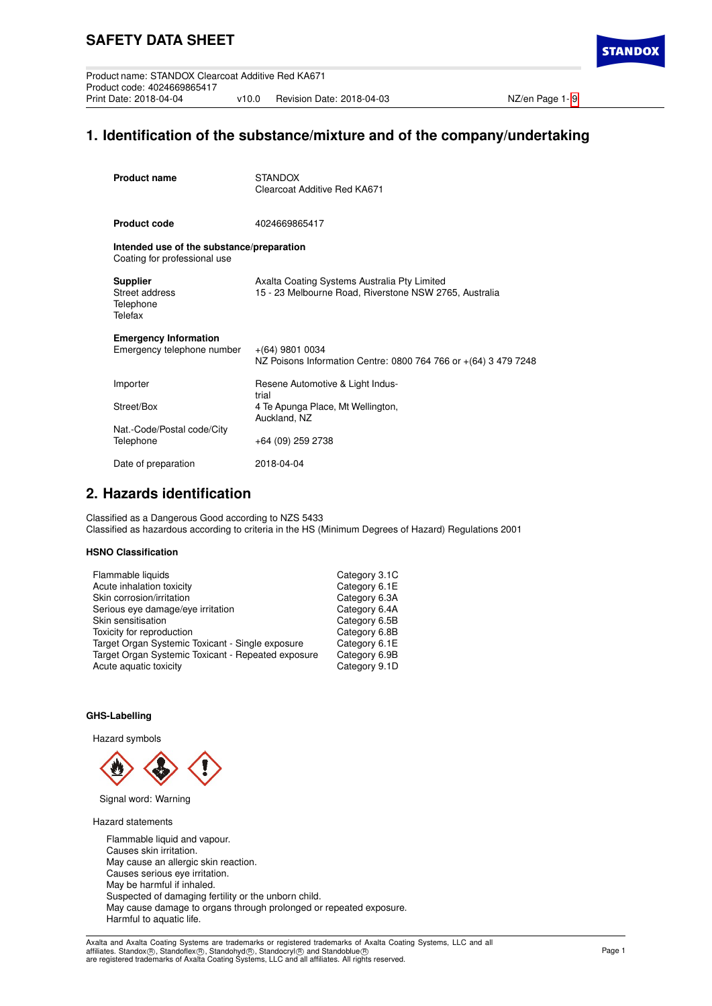Product name: STANDOX Clearcoat Additive Red KA671 Product code: 4024669865417 v10.0 Revision Date: 2018-04-03 NZ/en Page 1- [9](#page-8-0)

# **1. Identification of the substance/mixture and of the company/undertaking**

| <b>Product name</b>                                                       | <b>STANDOX</b><br>Clearcoat Additive Red KA671                                                         |
|---------------------------------------------------------------------------|--------------------------------------------------------------------------------------------------------|
| <b>Product code</b>                                                       | 4024669865417                                                                                          |
| Intended use of the substance/preparation<br>Coating for professional use |                                                                                                        |
| <b>Supplier</b><br>Street address<br>Telephone<br>Telefax                 | Axalta Coating Systems Australia Pty Limited<br>15 - 23 Melbourne Road, Riverstone NSW 2765, Australia |
| <b>Emergency Information</b><br>Emergency telephone number                | $+(64)$ 9801 0034<br>NZ Poisons Information Centre: 0800 764 766 or +(64) 3 479 7248                   |
| Importer                                                                  | Resene Automotive & Light Indus-<br>trial                                                              |
| Street/Box                                                                | 4 Te Apunga Place, Mt Wellington,<br>Auckland, NZ                                                      |
| Nat.-Code/Postal code/City<br>Telephone                                   | +64 (09) 259 2738                                                                                      |
| Date of preparation                                                       | 2018-04-04                                                                                             |

# **2. Hazards identification**

Classified as a Dangerous Good according to NZS 5433 Classified as hazardous according to criteria in the HS (Minimum Degrees of Hazard) Regulations 2001

### **HSNO Classification**

| Flammable liquids                                  | Category 3.1C |
|----------------------------------------------------|---------------|
| Acute inhalation toxicity                          | Category 6.1E |
| Skin corrosion/irritation                          | Category 6.3A |
| Serious eye damage/eye irritation                  | Category 6.4A |
| Skin sensitisation                                 | Category 6.5B |
| Toxicity for reproduction                          | Category 6.8B |
| Target Organ Systemic Toxicant - Single exposure   | Category 6.1E |
| Target Organ Systemic Toxicant - Repeated exposure | Category 6.9B |
| Acute aquatic toxicity                             | Category 9.1D |
|                                                    |               |

### **GHS-Labelling**

Hazard symbols



Signal word: Warning

Hazard statements

Flammable liquid and vapour. Causes skin irritation. May cause an allergic skin reaction. Causes serious eye irritation. May be harmful if inhaled. Suspected of damaging fertility or the unborn child. May cause damage to organs through prolonged or repeated exposure. Harmful to aquatic life.

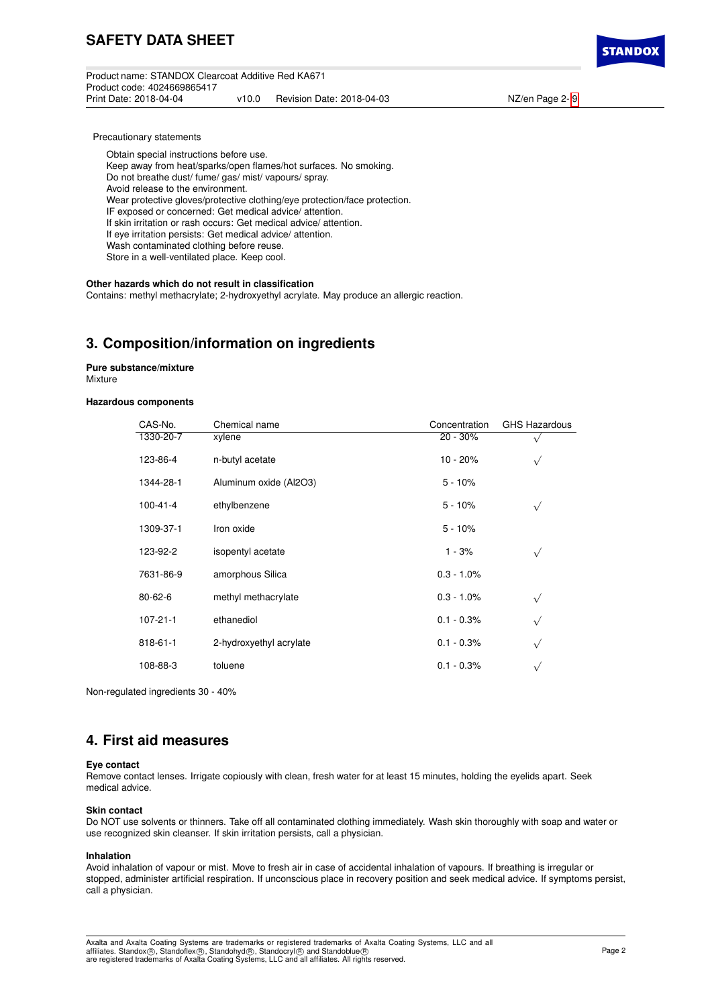Product name: STANDOX Clearcoat Additive Red KA671 Product code: 4024669865417 v10.0 Revision Date: 2018-04-03 NZ/en Page 2- [9](#page-8-0)



Precautionary statements

Obtain special instructions before use.

Keep away from heat/sparks/open flames/hot surfaces. No smoking.

Do not breathe dust/ fume/ gas/ mist/ vapours/ spray.

Avoid release to the environment.

Wear protective gloves/protective clothing/eye protection/face protection.

IF exposed or concerned: Get medical advice/ attention.

If skin irritation or rash occurs: Get medical advice/ attention.

If eye irritation persists: Get medical advice/ attention. Wash contaminated clothing before reuse.

Store in a well-ventilated place. Keep cool.

### **Other hazards which do not result in classification**

Contains: methyl methacrylate; 2-hydroxyethyl acrylate. May produce an allergic reaction.

# **3. Composition/information on ingredients**

**Pure substance/mixture Mixture** 

### **Hazardous components**

| CAS-No.        | Chemical name           | Concentration | <b>GHS Hazardous</b> |
|----------------|-------------------------|---------------|----------------------|
| 1330-20-7      | xylene                  | $20 - 30%$    |                      |
| 123-86-4       | n-butyl acetate         | $10 - 20%$    | $\sqrt{}$            |
| 1344-28-1      | Aluminum oxide (Al2O3)  | $5 - 10%$     |                      |
| $100 - 41 - 4$ | ethylbenzene            | $5 - 10%$     | $\checkmark$         |
| 1309-37-1      | Iron oxide              | $5 - 10%$     |                      |
| 123-92-2       | isopentyl acetate       | $1 - 3%$      | $\sqrt{ }$           |
| 7631-86-9      | amorphous Silica        | $0.3 - 1.0\%$ |                      |
| $80 - 62 - 6$  | methyl methacrylate     | $0.3 - 1.0\%$ | $\sqrt{}$            |
| $107 - 21 - 1$ | ethanediol              | $0.1 - 0.3%$  | $\sqrt{}$            |
| 818-61-1       | 2-hydroxyethyl acrylate | $0.1 - 0.3%$  | $\sqrt{}$            |
| 108-88-3       | toluene                 | $0.1 - 0.3%$  | $\checkmark$         |
|                |                         |               |                      |

Non-regulated ingredients 30 - 40%

# **4. First aid measures**

### **Eye contact**

Remove contact lenses. Irrigate copiously with clean, fresh water for at least 15 minutes, holding the eyelids apart. Seek medical advice.

#### **Skin contact**

Do NOT use solvents or thinners. Take off all contaminated clothing immediately. Wash skin thoroughly with soap and water or use recognized skin cleanser. If skin irritation persists, call a physician.

### **Inhalation**

Avoid inhalation of vapour or mist. Move to fresh air in case of accidental inhalation of vapours. If breathing is irregular or stopped, administer artificial respiration. If unconscious place in recovery position and seek medical advice. If symptoms persist, call a physician.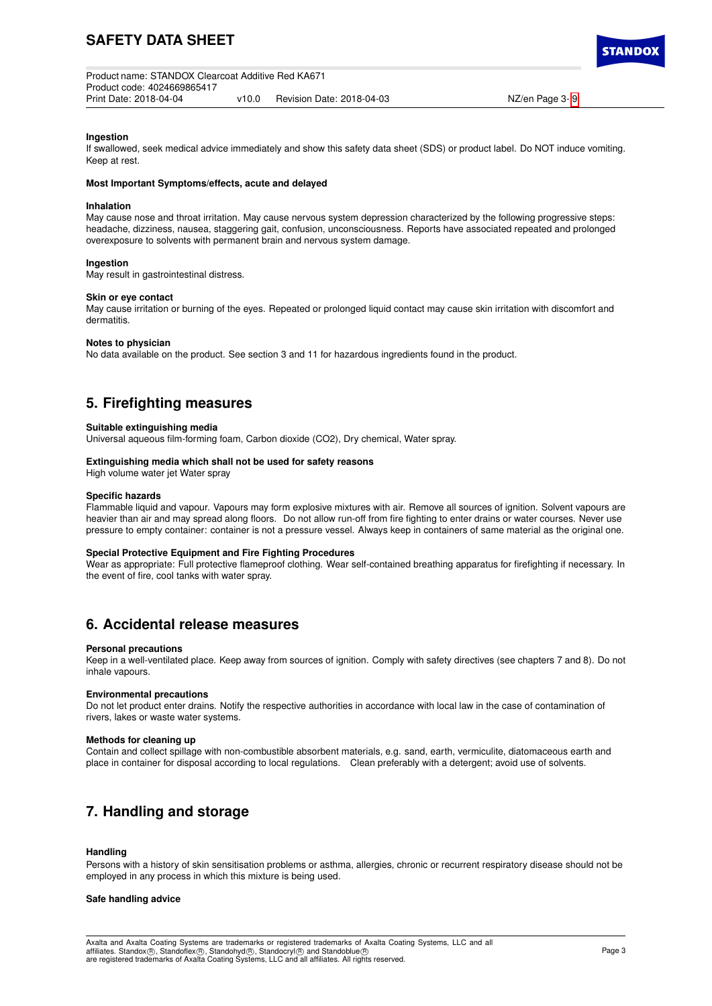Product name: STANDOX Clearcoat Additive Red KA671 Product code: 4024669865417 v10.0 Revision Date: 2018-04-03 NZ/en Page 3- [9](#page-8-0)

**STANDO** 

#### **Ingestion**

If swallowed, seek medical advice immediately and show this safety data sheet (SDS) or product label. Do NOT induce vomiting. Keep at rest.

#### **Most Important Symptoms/effects, acute and delayed**

#### **Inhalation**

May cause nose and throat irritation. May cause nervous system depression characterized by the following progressive steps: headache, dizziness, nausea, staggering gait, confusion, unconsciousness. Reports have associated repeated and prolonged overexposure to solvents with permanent brain and nervous system damage.

#### **Ingestion**

May result in gastrointestinal distress.

#### **Skin or eye contact**

May cause irritation or burning of the eyes. Repeated or prolonged liquid contact may cause skin irritation with discomfort and dermatitis.

#### **Notes to physician**

No data available on the product. See section 3 and 11 for hazardous ingredients found in the product.

# **5. Firefighting measures**

#### **Suitable extinguishing media**

Universal aqueous film-forming foam, Carbon dioxide (CO2), Dry chemical, Water spray.

#### **Extinguishing media which shall not be used for safety reasons**

High volume water jet Water spray

#### **Specific hazards**

Flammable liquid and vapour. Vapours may form explosive mixtures with air. Remove all sources of ignition. Solvent vapours are heavier than air and may spread along floors. Do not allow run-off from fire fighting to enter drains or water courses. Never use pressure to empty container: container is not a pressure vessel. Always keep in containers of same material as the original one.

#### **Special Protective Equipment and Fire Fighting Procedures**

Wear as appropriate: Full protective flameproof clothing. Wear self-contained breathing apparatus for firefighting if necessary. In the event of fire, cool tanks with water spray.

## **6. Accidental release measures**

#### **Personal precautions**

Keep in a well-ventilated place. Keep away from sources of ignition. Comply with safety directives (see chapters 7 and 8). Do not inhale vapours.

#### **Environmental precautions**

Do not let product enter drains. Notify the respective authorities in accordance with local law in the case of contamination of rivers, lakes or waste water systems.

#### **Methods for cleaning up**

Contain and collect spillage with non-combustible absorbent materials, e.g. sand, earth, vermiculite, diatomaceous earth and place in container for disposal according to local regulations. Clean preferably with a detergent; avoid use of solvents.

# **7. Handling and storage**

#### **Handling**

Persons with a history of skin sensitisation problems or asthma, allergies, chronic or recurrent respiratory disease should not be employed in any process in which this mixture is being used.

### **Safe handling advice**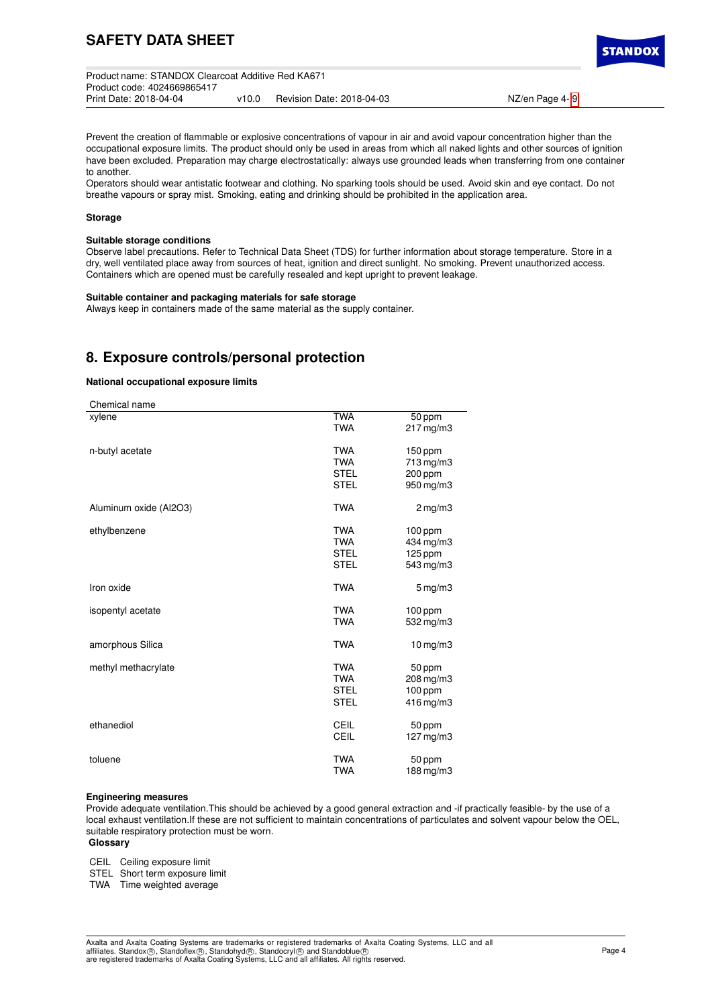| Product name: STANDOX Clearcoat Additive Red KA671 |       |                           |                |
|----------------------------------------------------|-------|---------------------------|----------------|
| Product code: 4024669865417                        |       |                           |                |
| Print Date: 2018-04-04                             | v10.0 | Revision Date: 2018-04-03 | NZ/en Page 4-9 |

Prevent the creation of flammable or explosive concentrations of vapour in air and avoid vapour concentration higher than the occupational exposure limits. The product should only be used in areas from which all naked lights and other sources of ignition have been excluded. Preparation may charge electrostatically: always use grounded leads when transferring from one container to another.

Operators should wear antistatic footwear and clothing. No sparking tools should be used. Avoid skin and eye contact. Do not breathe vapours or spray mist. Smoking, eating and drinking should be prohibited in the application area.

#### **Storage**

### **Suitable storage conditions**

Observe label precautions. Refer to Technical Data Sheet (TDS) for further information about storage temperature. Store in a dry, well ventilated place away from sources of heat, ignition and direct sunlight. No smoking. Prevent unauthorized access. Containers which are opened must be carefully resealed and kept upright to prevent leakage.

#### **Suitable container and packaging materials for safe storage**

Always keep in containers made of the same material as the supply container.

# **8. Exposure controls/personal protection**

### **National occupational exposure limits**

| Chemical name          |             |                     |
|------------------------|-------------|---------------------|
| xylene                 | <b>TWA</b>  | 50 ppm              |
|                        | <b>TWA</b>  | $217$ mg/m $3$      |
| n-butyl acetate        | <b>TWA</b>  | $150$ ppm           |
|                        | <b>TWA</b>  | 713 mg/m3           |
|                        | <b>STEL</b> | 200 ppm             |
|                        | <b>STEL</b> | 950 mg/m3           |
| Aluminum oxide (Al2O3) | <b>TWA</b>  | $2 \,\mathrm{mg/m}$ |
| ethylbenzene           | <b>TWA</b>  | $100$ ppm           |
|                        | <b>TWA</b>  | 434 mg/m3           |
|                        | <b>STEL</b> | 125 ppm             |
|                        | <b>STEL</b> | 543 mg/m3           |
| Iron oxide             | <b>TWA</b>  | $5 \,\mathrm{mg/m}$ |
| isopentyl acetate      | <b>TWA</b>  | $100$ ppm           |
|                        | <b>TWA</b>  | 532 mg/m3           |
| amorphous Silica       | <b>TWA</b>  | $10$ mg/m $3$       |
| methyl methacrylate    | <b>TWA</b>  | 50 ppm              |
|                        | <b>TWA</b>  | $208$ mg/m $3$      |
|                        | <b>STEL</b> | $100$ ppm           |
|                        | <b>STEL</b> | $416$ mg/m $3$      |
| ethanediol             | <b>CEIL</b> | 50 ppm              |
|                        | CEIL        | $127$ mg/m $3$      |
| toluene                | <b>TWA</b>  | 50 ppm              |
|                        | <b>TWA</b>  | 188 mg/m3           |

#### **Engineering measures**

Provide adequate ventilation.This should be achieved by a good general extraction and -if practically feasible- by the use of a local exhaust ventilation.If these are not sufficient to maintain concentrations of particulates and solvent vapour below the OEL, suitable respiratory protection must be worn.

### **Glossary**

CEIL Ceiling exposure limit

STEL Short term exposure limit

TWA Time weighted average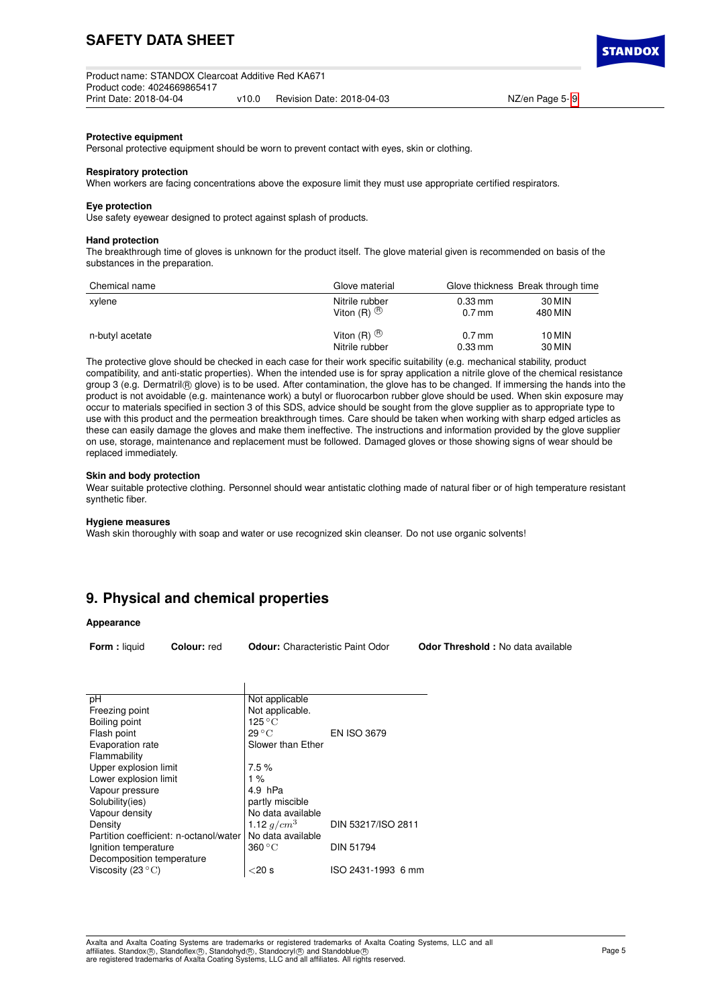### **Protective equipment**

Personal protective equipment should be worn to prevent contact with eyes, skin or clothing.

#### **Respiratory protection**

When workers are facing concentrations above the exposure limit they must use appropriate certified respirators.

## **Eye protection**

Use safety eyewear designed to protect against splash of products.

#### **Hand protection**

The breakthrough time of gloves is unknown for the product itself. The glove material given is recommended on basis of the substances in the preparation.

| Chemical name   | Glove material    |                      | Glove thickness Break through time |
|-----------------|-------------------|----------------------|------------------------------------|
| xylene          | Nitrile rubber    | $0.33 \,\mathrm{mm}$ | 30 MIN                             |
|                 | Viton $(R)$ $(B)$ | $0.7$ mm             | 480 MIN                            |
| n-butyl acetate | Viton $(R)$ $(B)$ | $0.7$ mm             | 10 MIN                             |
|                 | Nitrile rubber    | $0.33 \,\mathrm{mm}$ | 30 MIN                             |

The protective glove should be checked in each case for their work specific suitability (e.g. mechanical stability, product compatibility, and anti-static properties). When the intended use is for spray application a nitrile glove of the chemical resistance group 3 (e.g. Dermatril ® glove) is to be used. After contamination, the glove has to be changed. If immersing the hands into the product is not avoidable (e.g. maintenance work) a butyl or fluorocarbon rubber glove should be used. When skin exposure may occur to materials specified in section 3 of this SDS, advice should be sought from the glove supplier as to appropriate type to use with this product and the permeation breakthrough times. Care should be taken when working with sharp edged articles as these can easily damage the gloves and make them ineffective. The instructions and information provided by the glove supplier on use, storage, maintenance and replacement must be followed. Damaged gloves or those showing signs of wear should be replaced immediately.

#### **Skin and body protection**

Wear suitable protective clothing. Personnel should wear antistatic clothing made of natural fiber or of high temperature resistant synthetic fiber.

#### **Hygiene measures**

Wash skin thoroughly with soap and water or use recognized skin cleanser. Do not use organic solvents!

# **9. Physical and chemical properties**

#### **Appearance**

**Form :** liquid **Colour:** red **Odour:** Characteristic Paint Odor **Odor Threshold :** No data available

| рH                                     | Not applicable            |                    |
|----------------------------------------|---------------------------|--------------------|
| Freezing point                         | Not applicable.           |                    |
| Boiling point                          | $125\,^{\circ}\mathrm{C}$ |                    |
| Flash point                            | $29^{\circ}$ C            | <b>EN ISO 3679</b> |
| Evaporation rate                       | Slower than Ether         |                    |
| Flammability                           |                           |                    |
| Upper explosion limit                  | 7.5%                      |                    |
| Lower explosion limit                  | $1\%$                     |                    |
| Vapour pressure                        | 4.9 hPa                   |                    |
| Solubility(ies)                        | partly miscible           |                    |
| Vapour density                         | No data available         |                    |
| Density                                | 1.12 $g/cm^3$             | DIN 53217/ISO 2811 |
| Partition coefficient: n-octanol/water | No data available         |                    |
| Ignition temperature                   | 360 °C                    | <b>DIN 51794</b>   |
| Decomposition temperature              |                           |                    |
| Viscosity (23 $\degree$ C)             | ${<}20$ s                 | ISO 2431-1993 6 mm |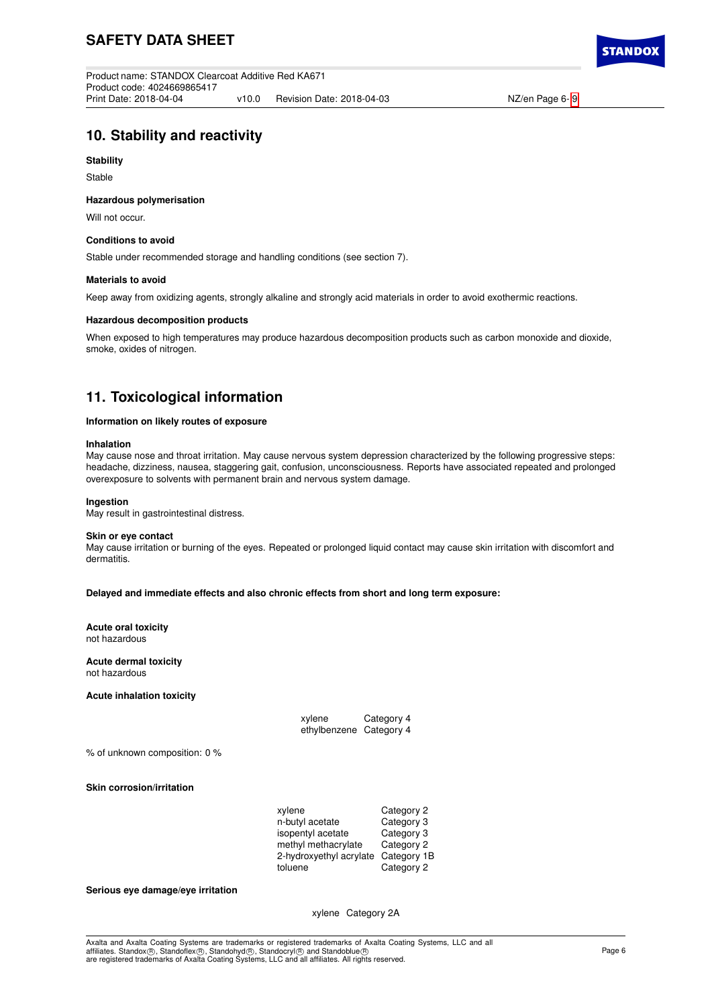# **10. Stability and reactivity**

## **Stability**

Stable

## **Hazardous polymerisation**

Will not occur.

## **Conditions to avoid**

Stable under recommended storage and handling conditions (see section 7).

## **Materials to avoid**

Keep away from oxidizing agents, strongly alkaline and strongly acid materials in order to avoid exothermic reactions.

## **Hazardous decomposition products**

When exposed to high temperatures may produce hazardous decomposition products such as carbon monoxide and dioxide, smoke, oxides of nitrogen.

# **11. Toxicological information**

## **Information on likely routes of exposure**

## **Inhalation**

May cause nose and throat irritation. May cause nervous system depression characterized by the following progressive steps: headache, dizziness, nausea, staggering gait, confusion, unconsciousness. Reports have associated repeated and prolonged overexposure to solvents with permanent brain and nervous system damage.

### **Ingestion**

May result in gastrointestinal distress.

#### **Skin or eye contact**

May cause irritation or burning of the eyes. Repeated or prolonged liquid contact may cause skin irritation with discomfort and dermatitis.

### **Delayed and immediate effects and also chronic effects from short and long term exposure:**

#### **Acute oral toxicity** not hazardous

**Acute dermal toxicity**

not hazardous

### **Acute inhalation toxicity**

| xylene                  | Category 4 |
|-------------------------|------------|
| ethylbenzene Category 4 |            |

% of unknown composition: 0 %

**Skin corrosion/irritation**

| xylene                  | Category 2  |
|-------------------------|-------------|
| n-butyl acetate         | Category 3  |
| isopentyl acetate       | Category 3  |
| methyl methacrylate     | Category 2  |
| 2-hydroxyethyl acrylate | Category 1B |
| toluene                 | Category 2  |

#### **Serious eye damage/eye irritation**

xylene Category 2A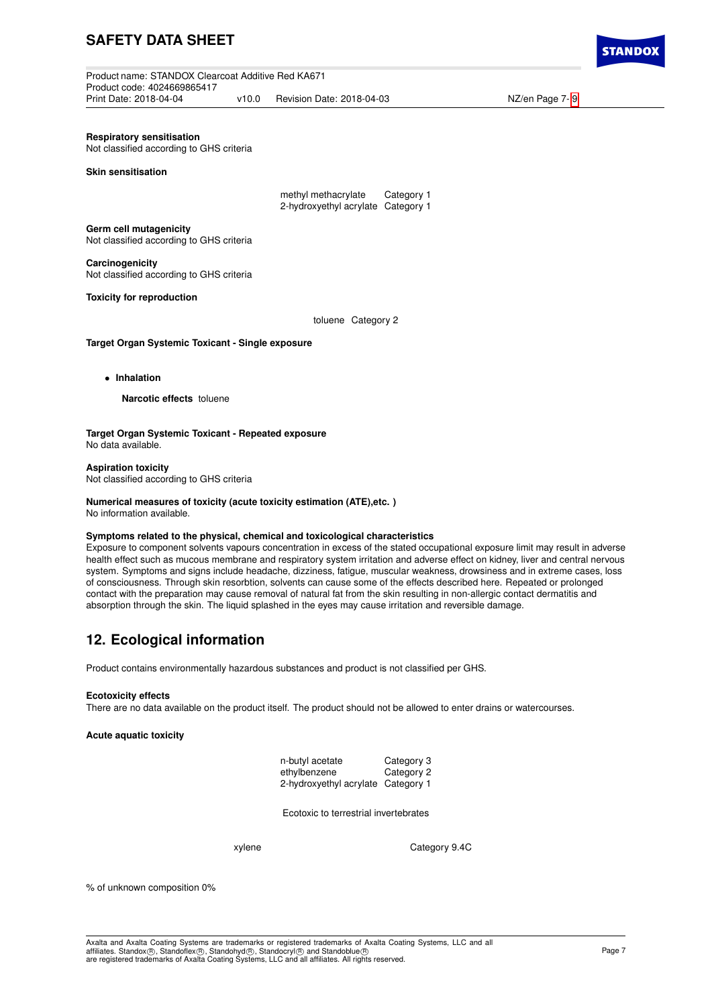Product name: STANDOX Clearcoat Additive Red KA671 Product code: 4024669865417 v10.0 Revision Date: 2018-04-03 NZ/en Page 7- [9](#page-8-0)

**Respiratory sensitisation**

Not classified according to GHS criteria

**Skin sensitisation**

methyl methacrylate Category 1 2-hydroxyethyl acrylate Category 1

**Germ cell mutagenicity** Not classified according to GHS criteria

**Carcinogenicity** Not classified according to GHS criteria

**Toxicity for reproduction**

toluene Category 2

**Target Organ Systemic Toxicant - Single exposure**

• **Inhalation**

**Narcotic effects** toluene

**Target Organ Systemic Toxicant - Repeated exposure** No data available.

**Aspiration toxicity** Not classified according to GHS criteria

# **Numerical measures of toxicity (acute toxicity estimation (ATE),etc. )**

No information available.

### **Symptoms related to the physical, chemical and toxicological characteristics**

Exposure to component solvents vapours concentration in excess of the stated occupational exposure limit may result in adverse health effect such as mucous membrane and respiratory system irritation and adverse effect on kidney, liver and central nervous system. Symptoms and signs include headache, dizziness, fatigue, muscular weakness, drowsiness and in extreme cases, loss of consciousness. Through skin resorbtion, solvents can cause some of the effects described here. Repeated or prolonged contact with the preparation may cause removal of natural fat from the skin resulting in non-allergic contact dermatitis and absorption through the skin. The liquid splashed in the eyes may cause irritation and reversible damage.

# **12. Ecological information**

Product contains environmentally hazardous substances and product is not classified per GHS.

#### **Ecotoxicity effects**

There are no data available on the product itself. The product should not be allowed to enter drains or watercourses.

### **Acute aquatic toxicity**

| n-butyl acetate                    | Category 3 |
|------------------------------------|------------|
| ethylbenzene                       | Category 2 |
| 2-hydroxyethyl acrylate Category 1 |            |

Ecotoxic to terrestrial invertebrates

xylene Category 9.4C

% of unknown composition 0%

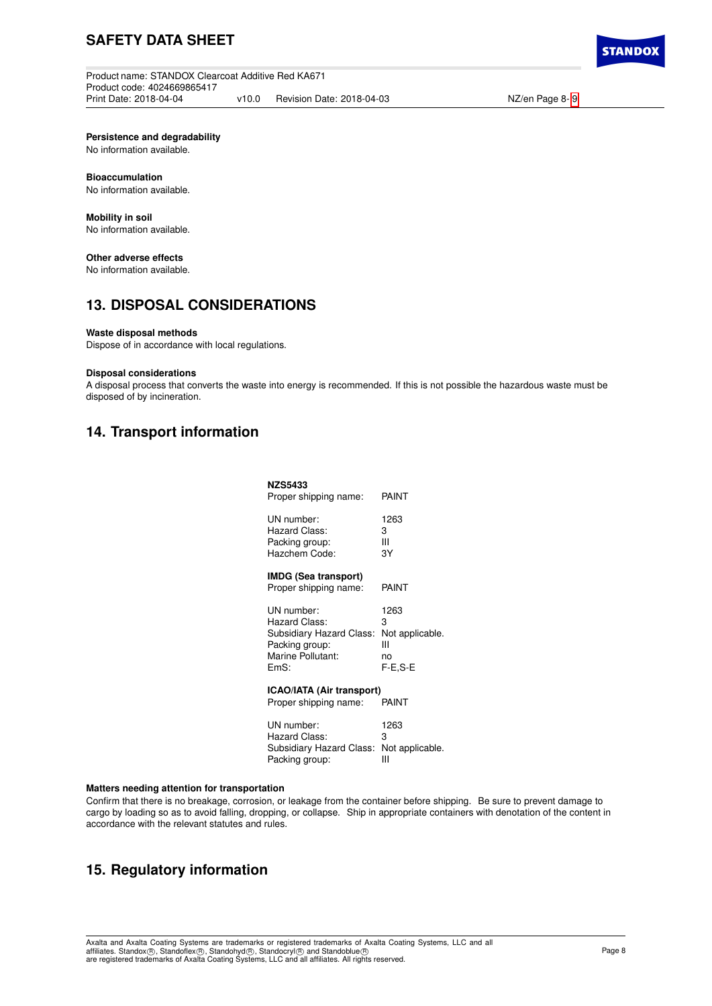Product name: STANDOX Clearcoat Additive Red KA671 Product code: 4024669865417 v10.0 Revision Date: 2018-04-03 NZ/en Page 8- [9](#page-8-0)

**STANDO)** 

**Persistence and degradability**

No information available.

### **Bioaccumulation**

No information available.

# **Mobility in soil**

No information available.

## **Other adverse effects**

No information available.

# **13. DISPOSAL CONSIDERATIONS**

### **Waste disposal methods**

Dispose of in accordance with local regulations.

### **Disposal considerations**

A disposal process that converts the waste into energy is recommended. If this is not possible the hazardous waste must be disposed of by incineration.

# **14. Transport information**

## **NZS5433**

| Proper shipping name:                                                                                  | PAINT                                              |  |  |
|--------------------------------------------------------------------------------------------------------|----------------------------------------------------|--|--|
| UN number:<br>Hazard Class:<br>Packing group:<br>Hazchem Code:                                         | 1263<br>3<br>Ш<br>3Y                               |  |  |
| <b>IMDG (Sea transport)</b><br>Proper shipping name:                                                   | PAINT                                              |  |  |
| UN number:<br>Hazard Class:<br>Subsidiary Hazard Class:<br>Packing group:<br>Marine Pollutant:<br>EmS: | 1263<br>3<br>Not applicable.<br>Ш<br>no<br>F-E.S-E |  |  |
| <b>ICAO/IATA (Air transport)</b>                                                                       |                                                    |  |  |

# Proper shipping name: PAINT

| UN number:                               | 1263 |
|------------------------------------------|------|
| Hazard Class:                            | з    |
| Subsidiary Hazard Class: Not applicable. |      |
| Packing group:                           | ш    |

### **Matters needing attention for transportation**

Confirm that there is no breakage, corrosion, or leakage from the container before shipping. Be sure to prevent damage to cargo by loading so as to avoid falling, dropping, or collapse. Ship in appropriate containers with denotation of the content in accordance with the relevant statutes and rules.

# **15. Regulatory information**